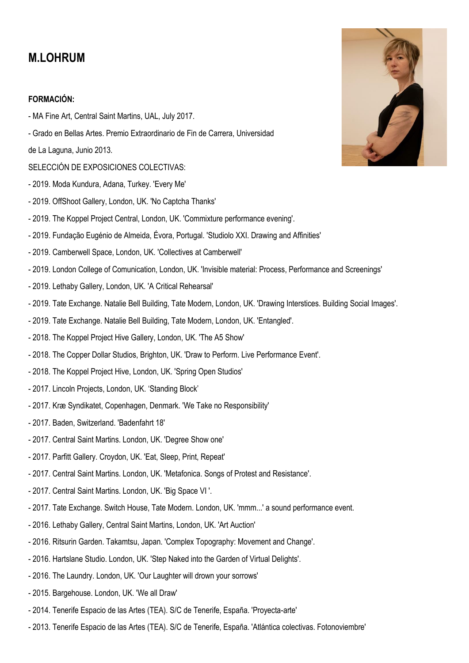# **M.LOHRUM**

## **FORMACIÓN:**

- MA Fine Art, Central Saint Martins, UAL, July 2017.
- Grado en Bellas Artes. Premio Extraordinario de Fin de Carrera, Universidad

de La Laguna, Junio 2013.

- SELECCIÓN DE EXPOSICIONES COLECTIVAS:
- 2019. Moda Kundura, Adana, Turkey. 'Every Me'
- 2019. OffShoot Gallery, London, UK. 'No Captcha Thanks'
- 2019. The Koppel Project Central, London, UK. 'Commixture performance evening'.
- 2019. Fundação Eugénio de Almeida, Évora, Portugal. 'Studiolo XXI. Drawing and Affinities'
- 2019. Camberwell Space, London, UK. 'Collectives at Camberwell'
- 2019. London College of Comunication, London, UK. 'Invisible material: Process, Performance and Screenings'
- 2019. Lethaby Gallery, London, UK. 'A Critical Rehearsal'
- 2019. Tate Exchange. Natalie Bell Building, Tate Modern, London, UK. 'Drawing Interstices. Building Social Images'.
- 2019. Tate Exchange. Natalie Bell Building, Tate Modern, London, UK. 'Entangled'.
- 2018. The Koppel Project Hive Gallery, London, UK. 'The A5 Show'
- 2018. The Copper Dollar Studios, Brighton, UK. 'Draw to Perform. Live Performance Event'.
- 2018. The Koppel Project Hive, London, UK. 'Spring Open Studios'
- 2017. Lincoln Projects, London, UK. 'Standing Block'
- 2017. Kræ Syndikatet, Copenhagen, Denmark. 'We Take no Responsibility'
- 2017. Baden, Switzerland. 'Badenfahrt 18'
- 2017. Central Saint Martins. London, UK. 'Degree Show one'
- 2017. Parfitt Gallery. Croydon, UK. 'Eat, Sleep, Print, Repeat'
- 2017. Central Saint Martins. London, UK. 'Metafonica. Songs of Protest and Resistance'.
- 2017. Central Saint Martins. London, UK. 'Big Space VI '.
- 2017. Tate Exchange. Switch House, Tate Modern. London, UK. 'mmm...' a sound performance event.
- 2016. Lethaby Gallery, Central Saint Martins, London, UK. 'Art Auction'
- 2016. Ritsurin Garden. Takamtsu, Japan. 'Complex Topography: Movement and Change'.
- 2016. Hartslane Studio. London, UK. 'Step Naked into the Garden of Virtual Delights'.
- 2016. The Laundry. London, UK. 'Our Laughter will drown your sorrows'
- 2015. Bargehouse. London, UK. 'We all Draw'
- 2014. Tenerife Espacio de las Artes (TEA). S/C de Tenerife, España. 'Proyecta-arte'
- 2013. Tenerife Espacio de las Artes (TEA). S/C de Tenerife, España. 'Atlántica colectivas. Fotonoviembre'

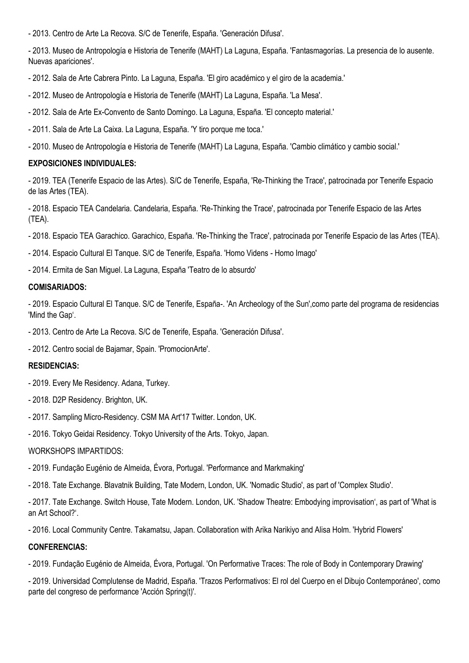- 2013. Centro de Arte La Recova. S/C de Tenerife, España. 'Generación Difusa'.

- 2013. Museo de Antropología e Historia de Tenerife (MAHT) La Laguna, España. 'Fantasmagorías. La presencia de lo ausente. Nuevas apariciones'.

- 2012. Sala de Arte Cabrera Pinto. La Laguna, España. 'El giro académico y el giro de la academia.'

- 2012. Museo de Antropología e Historia de Tenerife (MAHT) La Laguna, España. 'La Mesa'.

- 2012. Sala de Arte Ex-Convento de Santo Domingo. La Laguna, España. 'El concepto material.'

- 2011. Sala de Arte La Caixa. La Laguna, España. 'Y tiro porque me toca.'

- 2010. Museo de Antropología e Historia de Tenerife (MAHT) La Laguna, España. 'Cambio climático y cambio social.'

### **EXPOSICIONES INDIVIDUALES:**

- 2019. TEA (Tenerife Espacio de las Artes). S/C de Tenerife, España, 'Re-Thinking the Trace', patrocinada por Tenerife Espacio de las Artes (TEA).

- 2018. Espacio TEA Candelaria. Candelaria, España. 'Re-Thinking the Trace', patrocinada por Tenerife Espacio de las Artes (TEA).

- 2018. Espacio TEA Garachico. Garachico, España. 'Re-Thinking the Trace', patrocinada por Tenerife Espacio de las Artes (TEA).

- 2014. Espacio Cultural El Tanque. S/C de Tenerife, España. 'Homo Videns - Homo Imago'

- 2014. Ermita de San Miguel. La Laguna, España 'Teatro de lo absurdo'

#### **COMISARIADOS:**

- 2019. Espacio Cultural El Tanque. S/C de Tenerife, España-. 'An Archeology of the Sun',como parte del programa de residencias 'Mind the Gap'.

- 2013. Centro de Arte La Recova. S/C de Tenerife, España. 'Generación Difusa'.

- 2012. Centro social de Bajamar, Spain. 'PromocionArte'.

#### **RESIDENCIAS:**

- 2019. Every Me Residency. Adana, Turkey.
- 2018. D2P Residency. Brighton, UK.
- 2017. Sampling Micro-Residency. CSM MA Art'17 Twitter. London, UK.
- 2016. Tokyo Geidai Residency. Tokyo University of the Arts. Tokyo, Japan.

#### WORKSHOPS IMPARTIDOS:

- 2019. Fundação Eugénio de Almeida, Évora, Portugal. 'Performance and Markmaking'
- 2018. Tate Exchange. Blavatnik Building, Tate Modern, London, UK. 'Nomadic Studio', as part of 'Complex Studio'.

- 2017. Tate Exchange. Switch House, Tate Modern. London, UK. 'Shadow Theatre: Embodying improvisation', as part of 'What is an Art School?'.

- 2016. Local Community Centre. Takamatsu, Japan. Collaboration with Arika Narikiyo and Alisa Holm. 'Hybrid Flowers'

## **CONFERENCIAS:**

- 2019. Fundação Eugénio de Almeida, Évora, Portugal. 'On Performative Traces: The role of Body in Contemporary Drawing'

- 2019. Universidad Complutense de Madrid, España. 'Trazos Performativos: El rol del Cuerpo en el Dibujo Contemporáneo', como parte del congreso de performance 'Acción Spring(t)'.